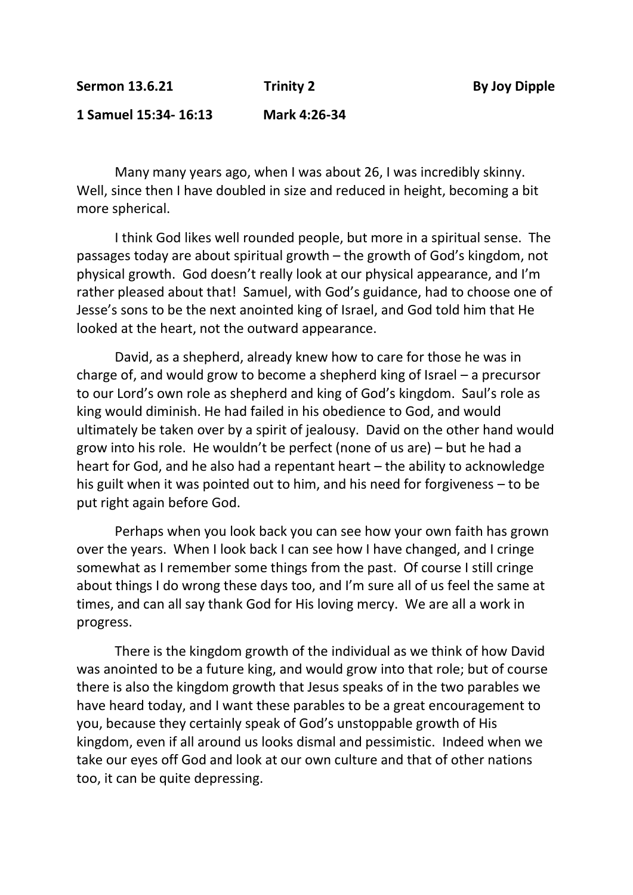**1 Samuel 15:34- 16:13 Mark 4:26-34**

Many many years ago, when I was about 26, I was incredibly skinny. Well, since then I have doubled in size and reduced in height, becoming a bit more spherical.

I think God likes well rounded people, but more in a spiritual sense. The passages today are about spiritual growth – the growth of God's kingdom, not physical growth. God doesn't really look at our physical appearance, and I'm rather pleased about that! Samuel, with God's guidance, had to choose one of Jesse's sons to be the next anointed king of Israel, and God told him that He looked at the heart, not the outward appearance.

David, as a shepherd, already knew how to care for those he was in charge of, and would grow to become a shepherd king of Israel – a precursor to our Lord's own role as shepherd and king of God's kingdom. Saul's role as king would diminish. He had failed in his obedience to God, and would ultimately be taken over by a spirit of jealousy. David on the other hand would grow into his role. He wouldn't be perfect (none of us are) – but he had a heart for God, and he also had a repentant heart – the ability to acknowledge his guilt when it was pointed out to him, and his need for forgiveness – to be put right again before God.

Perhaps when you look back you can see how your own faith has grown over the years. When I look back I can see how I have changed, and I cringe somewhat as I remember some things from the past. Of course I still cringe about things I do wrong these days too, and I'm sure all of us feel the same at times, and can all say thank God for His loving mercy. We are all a work in progress.

There is the kingdom growth of the individual as we think of how David was anointed to be a future king, and would grow into that role; but of course there is also the kingdom growth that Jesus speaks of in the two parables we have heard today, and I want these parables to be a great encouragement to you, because they certainly speak of God's unstoppable growth of His kingdom, even if all around us looks dismal and pessimistic. Indeed when we take our eyes off God and look at our own culture and that of other nations too, it can be quite depressing.